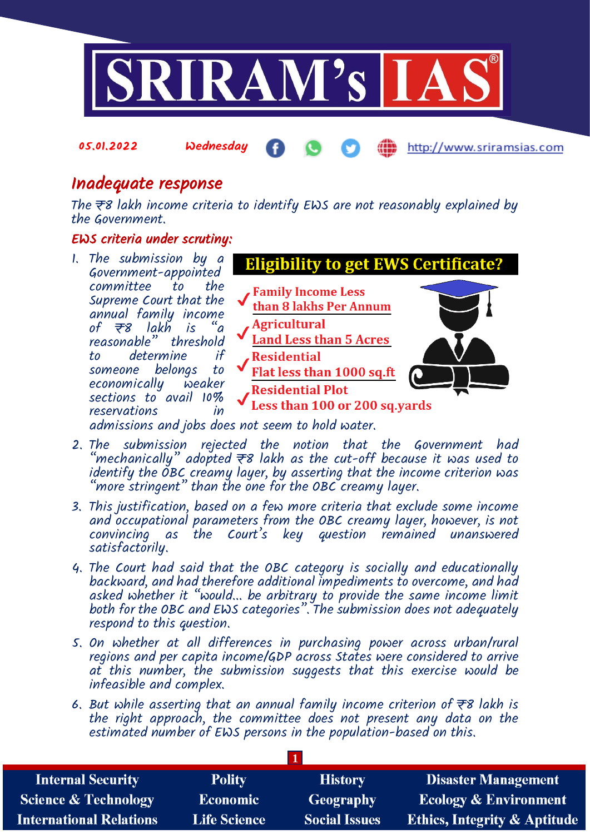

05.01.2022 Wednesday

http://www.sriramsias.com

## Inadequate response

The  $\overline{\tau}$ 8 lakh income criteria to identify EWS are not reasonably explained by the Government.

## EWS criteria under scrutiny:

- 1. The submission by a **Eligibility to get EWS Certificate?** Government-appointed committee **Family Income Less** Supreme Court that the than 8 lakhs Per Annum annual family income<br>of  $\overline{\tau}$ 8 lakh is "a **Agricultural** of  $\overline{\tau}8$  lakh is reasonable" threshold<br>to determine if **Land Less than 5 Acres** to determine **Residential** someone belongs to Flat less than 1000 sq.ft economically weaker **Residential Plot** sections to avail 10% Less than 100 or 200 sq.yards reservations admissions and jobs does not seem to hold water.
- 2. The submission rejected the notion that the Government had "mechanically" adopted  $\overline{z}$ 8 lakh as the cut-off because it was used to identify the OBC creamy layer, by asserting that the income criterion was "more stringent" than the one for the OBC creamy layer.  $\;$
- 3. This justification, based on a few more criteria that exclude some income and occupational parameters from the OBC creamy layer, however, is not convincing as the Court's key question remained unanswered satisfactorily.
- 4. The Court had said that the OBC category is socially and educationally backward, and had therefore additional impediments to overcome, and had asked whether it "would... be arbitrary to provide the same income limit both for the OBC and EWS categories". The submission does not adequately respond to this question.
- 5. On whether at all differences in purchasing power across urban/rural regions and per capita income/GDP across States were considered to arrive at this number, the submission suggests that this exercise would be infeasible and complex.
- 6. But while asserting that an annual family income criterion of  $\bar{\tau}s$  lakh is the right approach, the committee does not present any data on the estimated number of EWS persons in the population-based on this.

**1**

| <b>Internal Security</b>        | <b>Polity</b>       | <b>History</b>       | <b>Disaster Management</b>              |  |  |
|---------------------------------|---------------------|----------------------|-----------------------------------------|--|--|
| <b>Science &amp; Technology</b> | <b>Economic</b>     | <b>Geography</b>     | <b>Ecology &amp; Environment</b>        |  |  |
| International Relations         | <b>Life Science</b> | <b>Social Issues</b> | <b>Ethics, Integrity &amp; Aptitude</b> |  |  |